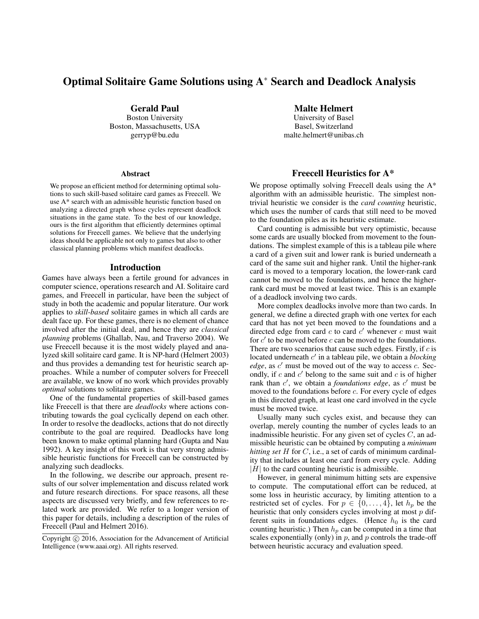# Optimal Solitaire Game Solutions using A<sup>∗</sup> Search and Deadlock Analysis

Gerald Paul Boston University Boston, Massachusetts, USA gerryp@bu.edu

### Abstract

We propose an efficient method for determining optimal solutions to such skill-based solitaire card games as Freecell. We use A\* search with an admissible heuristic function based on analyzing a directed graph whose cycles represent deadlock situations in the game state. To the best of our knowledge, ours is the first algorithm that efficiently determines optimal solutions for Freecell games. We believe that the underlying ideas should be applicable not only to games but also to other classical planning problems which manifest deadlocks.

### Introduction

Games have always been a fertile ground for advances in computer science, operations research and AI. Solitaire card games, and Freecell in particular, have been the subject of study in both the academic and popular literature. Our work applies to *skill-based* solitaire games in which all cards are dealt face up. For these games, there is no element of chance involved after the initial deal, and hence they are *classical planning* problems (Ghallab, Nau, and Traverso 2004). We use Freecell because it is the most widely played and analyzed skill solitaire card game. It is NP-hard (Helmert 2003) and thus provides a demanding test for heuristic search approaches. While a number of computer solvers for Freecell are available, we know of no work which provides provably *optimal* solutions to solitaire games.

One of the fundamental properties of skill-based games like Freecell is that there are *deadlocks* where actions contributing towards the goal cyclically depend on each other. In order to resolve the deadlocks, actions that do not directly contribute to the goal are required. Deadlocks have long been known to make optimal planning hard (Gupta and Nau 1992). A key insight of this work is that very strong admissible heuristic functions for Freecell can be constructed by analyzing such deadlocks.

In the following, we describe our approach, present results of our solver implementation and discuss related work and future research directions. For space reasons, all these aspects are discussed very briefly, and few references to related work are provided. We refer to a longer version of this paper for details, including a description of the rules of Freecell (Paul and Helmert 2016).

Malte Helmert

University of Basel Basel, Switzerland malte.helmert@unibas.ch

# Freecell Heuristics for A\*

We propose optimally solving Freecell deals using the  $A^*$ algorithm with an admissible heuristic. The simplest nontrivial heuristic we consider is the *card counting* heuristic, which uses the number of cards that still need to be moved to the foundation piles as its heuristic estimate.

Card counting is admissible but very optimistic, because some cards are usually blocked from movement to the foundations. The simplest example of this is a tableau pile where a card of a given suit and lower rank is buried underneath a card of the same suit and higher rank. Until the higher-rank card is moved to a temporary location, the lower-rank card cannot be moved to the foundations, and hence the higherrank card must be moved at least twice. This is an example of a deadlock involving two cards.

More complex deadlocks involve more than two cards. In general, we define a directed graph with one vertex for each card that has not yet been moved to the foundations and a directed edge from card  $c$  to card  $c'$  whenever  $c$  must wait for  $c'$  to be moved before  $c$  can be moved to the foundations. There are two scenarios that cause such edges. Firstly, if  $c$  is located underneath c' in a tableau pile, we obtain a *blocking edge*, as  $c'$  must be moved out of the way to access  $c$ . Secondly, if  $c$  and  $c'$  belong to the same suit and  $c$  is of higher rank than c', we obtain a *foundations edge*, as c' must be moved to the foundations before  $c$ . For every cycle of edges in this directed graph, at least one card involved in the cycle must be moved twice.

Usually many such cycles exist, and because they can overlap, merely counting the number of cycles leads to an inadmissible heuristic. For any given set of cycles  $C$ , an admissible heuristic can be obtained by computing a *minimum hitting set* H for C, i.e., a set of cards of minimum cardinality that includes at least one card from every cycle. Adding  $|H|$  to the card counting heuristic is admissible.

However, in general minimum hitting sets are expensive to compute. The computational effort can be reduced, at some loss in heuristic accuracy, by limiting attention to a restricted set of cycles. For  $p \in \{0, \ldots, 4\}$ , let  $h_p$  be the heuristic that only considers cycles involving at most  $p$  different suits in foundations edges. (Hence  $h_0$  is the card counting heuristic.) Then  $h_p$  can be computed in a time that scales exponentially (only) in  $p$ , and  $p$  controls the trade-off between heuristic accuracy and evaluation speed.

Copyright (c) 2016, Association for the Advancement of Artificial Intelligence (www.aaai.org). All rights reserved.